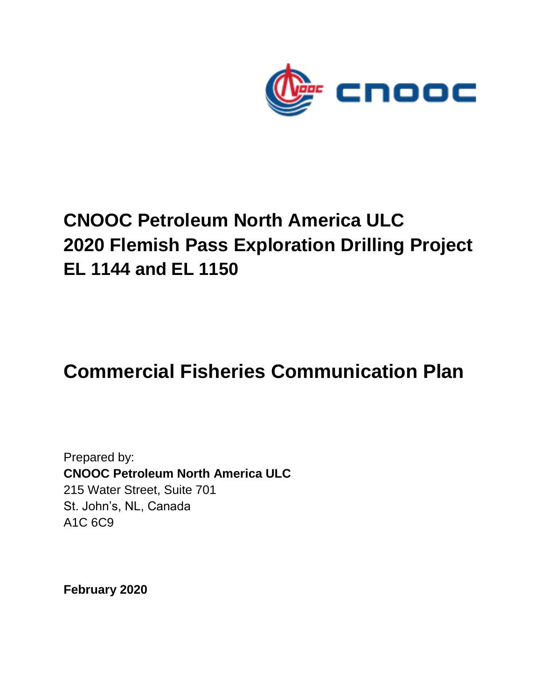

# **CNOOC Petroleum North America ULC 2020 Flemish Pass Exploration Drilling Project EL 1144 and EL 1150**

## **Commercial Fisheries Communication Plan**

Prepared by: **CNOOC Petroleum North America ULC** 215 Water Street, Suite 701 St. John's, NL, Canada A1C 6C9

**February 2020**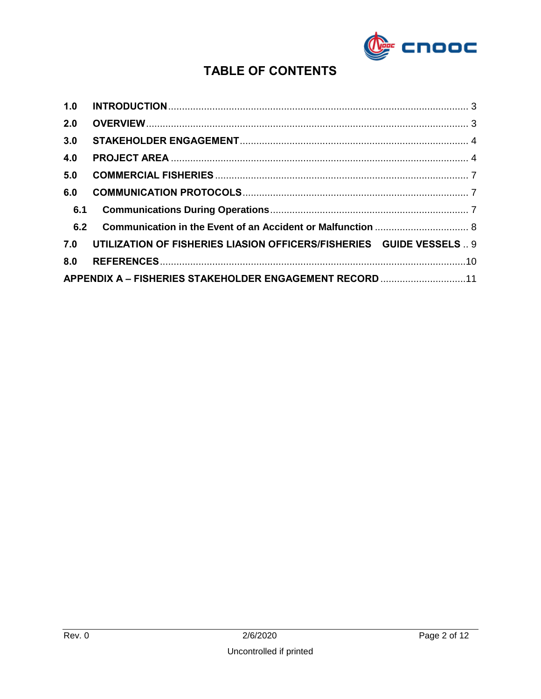

## **TABLE OF CONTENTS**

| 1.0                                                     |                                                                       |  |  |  |
|---------------------------------------------------------|-----------------------------------------------------------------------|--|--|--|
| 2.0                                                     |                                                                       |  |  |  |
| 3.0                                                     |                                                                       |  |  |  |
| 4.0                                                     |                                                                       |  |  |  |
| 5.0                                                     |                                                                       |  |  |  |
| 6.0                                                     |                                                                       |  |  |  |
| 6.1                                                     |                                                                       |  |  |  |
| 6.2                                                     |                                                                       |  |  |  |
| 7.0                                                     | UTILIZATION OF FISHERIES LIASION OFFICERS/FISHERIES  GUIDE VESSELS  9 |  |  |  |
| 8.0                                                     |                                                                       |  |  |  |
| APPENDIX A - FISHERIES STAKEHOLDER ENGAGEMENT RECORD 11 |                                                                       |  |  |  |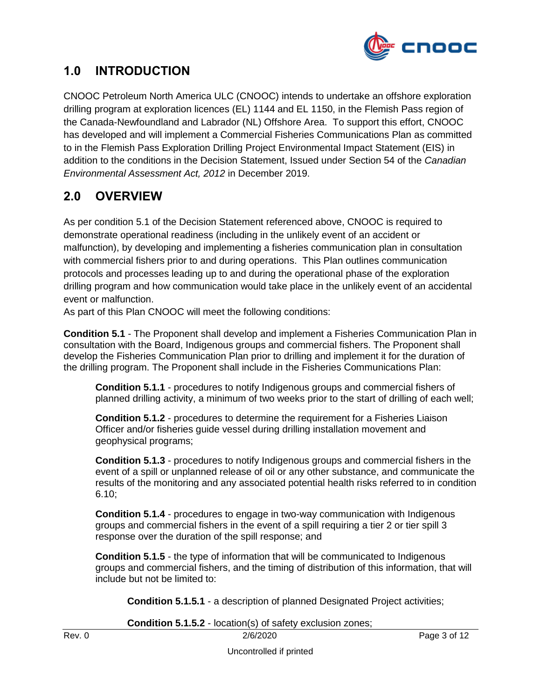

#### <span id="page-2-0"></span>**1.0 INTRODUCTION**

CNOOC Petroleum North America ULC (CNOOC) intends to undertake an offshore exploration drilling program at exploration licences (EL) 1144 and EL 1150, in the Flemish Pass region of the Canada-Newfoundland and Labrador (NL) Offshore Area. To support this effort, CNOOC has developed and will implement a Commercial Fisheries Communications Plan as committed to in the Flemish Pass Exploration Drilling Project Environmental Impact Statement (EIS) in addition to the conditions in the Decision Statement, Issued under Section 54 of the *Canadian Environmental Assessment Act, 2012* in December 2019.

### <span id="page-2-1"></span>**2.0 OVERVIEW**

As per condition 5.1 of the Decision Statement referenced above, CNOOC is required to demonstrate operational readiness (including in the unlikely event of an accident or malfunction), by developing and implementing a fisheries communication plan in consultation with commercial fishers prior to and during operations. This Plan outlines communication protocols and processes leading up to and during the operational phase of the exploration drilling program and how communication would take place in the unlikely event of an accidental event or malfunction.

As part of this Plan CNOOC will meet the following conditions:

**Condition 5.1** - The Proponent shall develop and implement a Fisheries Communication Plan in consultation with the Board, Indigenous groups and commercial fishers. The Proponent shall develop the Fisheries Communication Plan prior to drilling and implement it for the duration of the drilling program. The Proponent shall include in the Fisheries Communications Plan:

**Condition 5.1.1** - procedures to notify Indigenous groups and commercial fishers of planned drilling activity, a minimum of two weeks prior to the start of drilling of each well;

**Condition 5.1.2** - procedures to determine the requirement for a Fisheries Liaison Officer and/or fisheries guide vessel during drilling installation movement and geophysical programs;

**Condition 5.1.3** - procedures to notify Indigenous groups and commercial fishers in the event of a spill or unplanned release of oil or any other substance, and communicate the results of the monitoring and any associated potential health risks referred to in condition 6.10;

**Condition 5.1.4** - procedures to engage in two-way communication with Indigenous groups and commercial fishers in the event of a spill requiring a tier 2 or tier spill 3 response over the duration of the spill response; and

**Condition 5.1.5** - the type of information that will be communicated to Indigenous groups and commercial fishers, and the timing of distribution of this information, that will include but not be limited to:

**Condition 5.1.5.1** - a description of planned Designated Project activities;

**Condition 5.1.5.2** - location(s) of safety exclusion zones;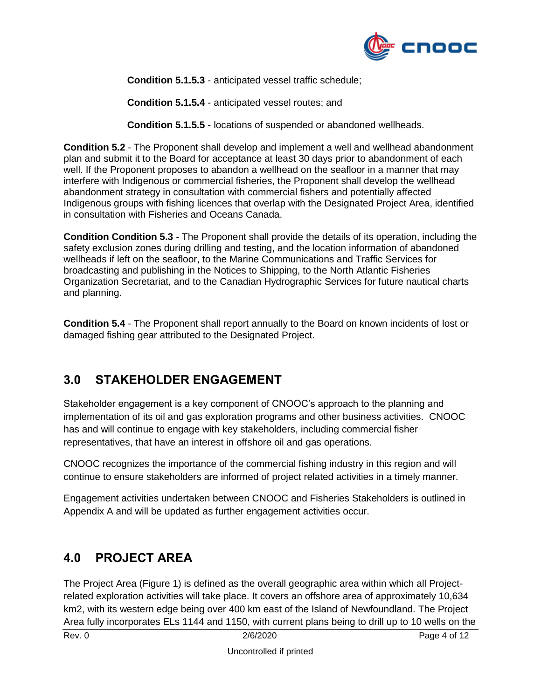

**Condition 5.1.5.3** - anticipated vessel traffic schedule;

**Condition 5.1.5.4** - anticipated vessel routes; and

**Condition 5.1.5.5** - locations of suspended or abandoned wellheads.

**Condition 5.2** - The Proponent shall develop and implement a well and wellhead abandonment plan and submit it to the Board for acceptance at least 30 days prior to abandonment of each well. If the Proponent proposes to abandon a wellhead on the seafloor in a manner that may interfere with Indigenous or commercial fisheries, the Proponent shall develop the wellhead abandonment strategy in consultation with commercial fishers and potentially affected Indigenous groups with fishing licences that overlap with the Designated Project Area, identified in consultation with Fisheries and Oceans Canada.

**Condition Condition 5.3** - The Proponent shall provide the details of its operation, including the safety exclusion zones during drilling and testing, and the location information of abandoned wellheads if left on the seafloor, to the Marine Communications and Traffic Services for broadcasting and publishing in the Notices to Shipping, to the North Atlantic Fisheries Organization Secretariat, and to the Canadian Hydrographic Services for future nautical charts and planning.

**Condition 5.4** - The Proponent shall report annually to the Board on known incidents of lost or damaged fishing gear attributed to the Designated Project.

#### <span id="page-3-0"></span>**3.0 STAKEHOLDER ENGAGEMENT**

Stakeholder engagement is a key component of CNOOC's approach to the planning and implementation of its oil and gas exploration programs and other business activities. CNOOC has and will continue to engage with key stakeholders, including commercial fisher representatives, that have an interest in offshore oil and gas operations.

CNOOC recognizes the importance of the commercial fishing industry in this region and will continue to ensure stakeholders are informed of project related activities in a timely manner.

Engagement activities undertaken between CNOOC and Fisheries Stakeholders is outlined in Appendix A and will be updated as further engagement activities occur.

#### <span id="page-3-1"></span>**4.0 PROJECT AREA**

The Project Area (Figure 1) is defined as the overall geographic area within which all Projectrelated exploration activities will take place. It covers an offshore area of approximately 10,634 km2, with its western edge being over 400 km east of the Island of Newfoundland. The Project Area fully incorporates ELs 1144 and 1150, with current plans being to drill up to 10 wells on the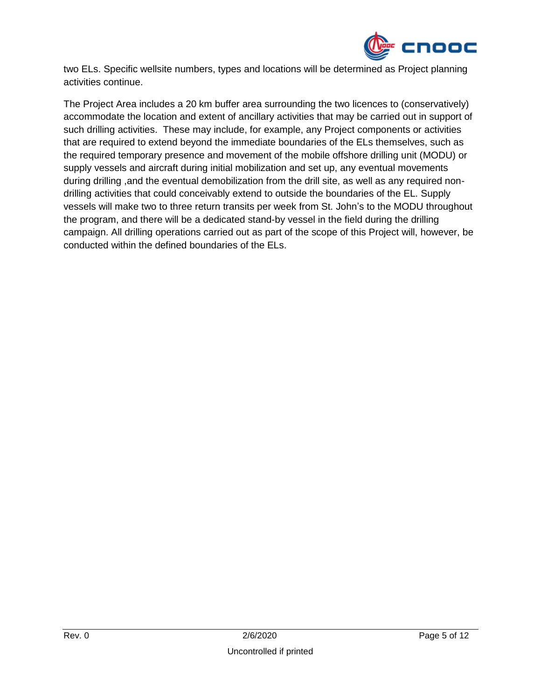

two ELs. Specific wellsite numbers, types and locations will be determined as Project planning activities continue.

The Project Area includes a 20 km buffer area surrounding the two licences to (conservatively) accommodate the location and extent of ancillary activities that may be carried out in support of such drilling activities. These may include, for example, any Project components or activities that are required to extend beyond the immediate boundaries of the ELs themselves, such as the required temporary presence and movement of the mobile offshore drilling unit (MODU) or supply vessels and aircraft during initial mobilization and set up, any eventual movements during drilling ,and the eventual demobilization from the drill site, as well as any required nondrilling activities that could conceivably extend to outside the boundaries of the EL. Supply vessels will make two to three return transits per week from St. John's to the MODU throughout the program, and there will be a dedicated stand-by vessel in the field during the drilling campaign. All drilling operations carried out as part of the scope of this Project will, however, be conducted within the defined boundaries of the ELs.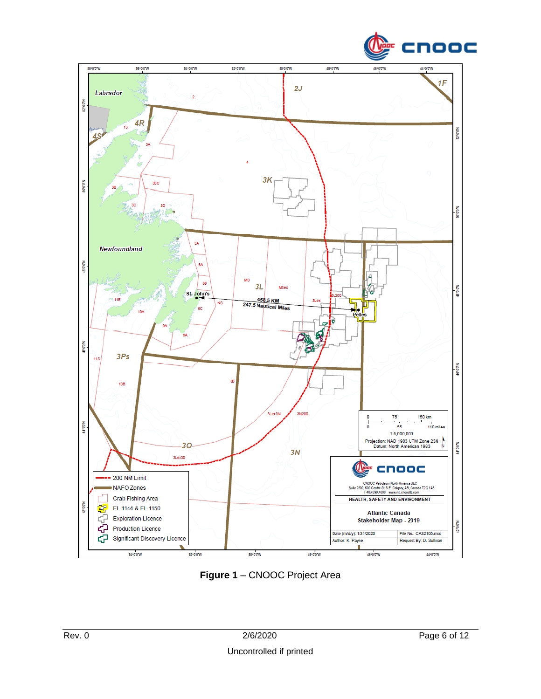



**Figure 1** – CNOOC Project Area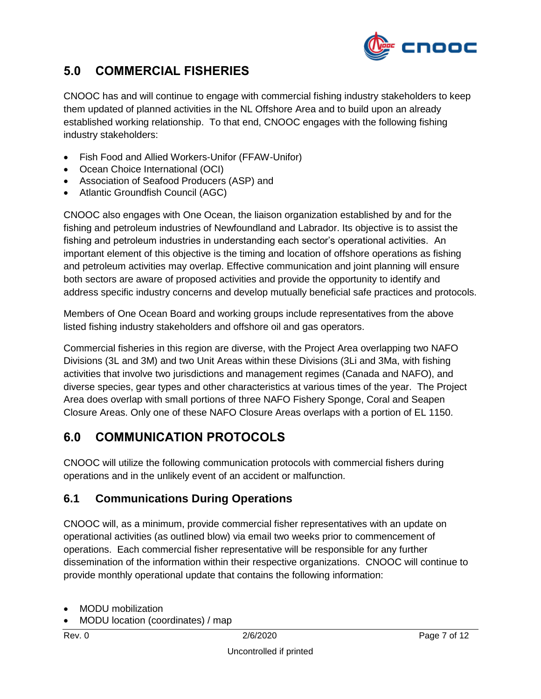

#### <span id="page-6-0"></span>**5.0 COMMERCIAL FISHERIES**

CNOOC has and will continue to engage with commercial fishing industry stakeholders to keep them updated of planned activities in the NL Offshore Area and to build upon an already established working relationship. To that end, CNOOC engages with the following fishing industry stakeholders:

- Fish Food and Allied Workers-Unifor (FFAW-Unifor)
- Ocean Choice International (OCI)
- Association of Seafood Producers (ASP) and
- Atlantic Groundfish Council (AGC)

CNOOC also engages with One Ocean, the liaison organization established by and for the fishing and petroleum industries of Newfoundland and Labrador. Its objective is to assist the fishing and petroleum industries in understanding each sector's operational activities. An important element of this objective is the timing and location of offshore operations as fishing and petroleum activities may overlap. Effective communication and joint planning will ensure both sectors are aware of proposed activities and provide the opportunity to identify and address specific industry concerns and develop mutually beneficial safe practices and protocols.

Members of One Ocean Board and working groups include representatives from the above listed fishing industry stakeholders and offshore oil and gas operators.

Commercial fisheries in this region are diverse, with the Project Area overlapping two NAFO Divisions (3L and 3M) and two Unit Areas within these Divisions (3Li and 3Ma, with fishing activities that involve two jurisdictions and management regimes (Canada and NAFO), and diverse species, gear types and other characteristics at various times of the year. The Project Area does overlap with small portions of three NAFO Fishery Sponge, Coral and Seapen Closure Areas. Only one of these NAFO Closure Areas overlaps with a portion of EL 1150.

#### <span id="page-6-1"></span>**6.0 COMMUNICATION PROTOCOLS**

CNOOC will utilize the following communication protocols with commercial fishers during operations and in the unlikely event of an accident or malfunction.

#### <span id="page-6-2"></span>**6.1 Communications During Operations**

CNOOC will, as a minimum, provide commercial fisher representatives with an update on operational activities (as outlined blow) via email two weeks prior to commencement of operations. Each commercial fisher representative will be responsible for any further dissemination of the information within their respective organizations. CNOOC will continue to provide monthly operational update that contains the following information:

- MODU mobilization
- MODU location (coordinates) / map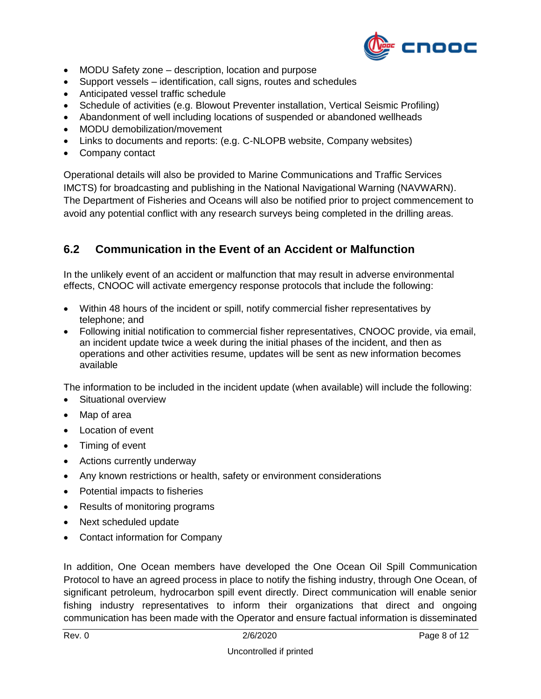

- MODU Safety zone description, location and purpose
- Support vessels identification, call signs, routes and schedules
- Anticipated vessel traffic schedule
- Schedule of activities (e.g. Blowout Preventer installation, Vertical Seismic Profiling)
- Abandonment of well including locations of suspended or abandoned wellheads
- MODU demobilization/movement
- Links to documents and reports: (e.g. C-NLOPB website, Company websites)
- Company contact

Operational details will also be provided to Marine Communications and Traffic Services IMCTS) for broadcasting and publishing in the National Navigational Warning (NAVWARN). The Department of Fisheries and Oceans will also be notified prior to project commencement to avoid any potential conflict with any research surveys being completed in the drilling areas.

#### <span id="page-7-0"></span>**6.2 Communication in the Event of an Accident or Malfunction**

In the unlikely event of an accident or malfunction that may result in adverse environmental effects, CNOOC will activate emergency response protocols that include the following:

- Within 48 hours of the incident or spill, notify commercial fisher representatives by telephone; and
- Following initial notification to commercial fisher representatives, CNOOC provide, via email, an incident update twice a week during the initial phases of the incident, and then as operations and other activities resume, updates will be sent as new information becomes available

The information to be included in the incident update (when available) will include the following:

- Situational overview
- Map of area
- Location of event
- Timing of event
- Actions currently underway
- Any known restrictions or health, safety or environment considerations
- Potential impacts to fisheries
- Results of monitoring programs
- Next scheduled update
- Contact information for Company

In addition, One Ocean members have developed the One Ocean Oil Spill Communication Protocol to have an agreed process in place to notify the fishing industry, through One Ocean, of significant petroleum, hydrocarbon spill event directly. Direct communication will enable senior fishing industry representatives to inform their organizations that direct and ongoing communication has been made with the Operator and ensure factual information is disseminated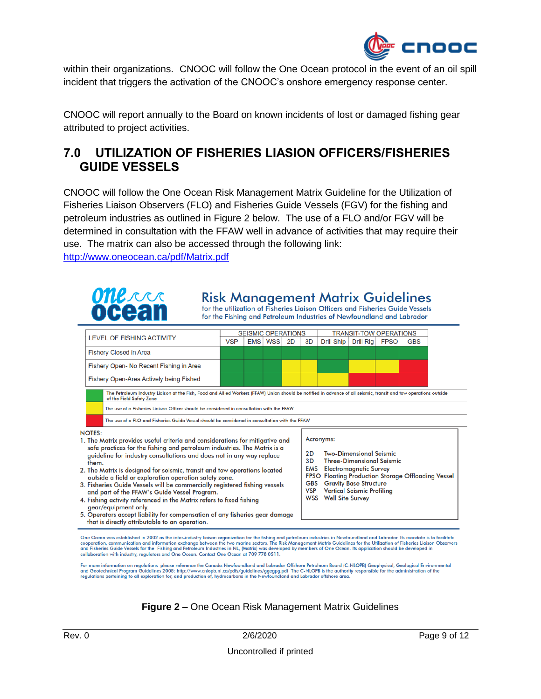

within their organizations. CNOOC will follow the One Ocean protocol in the event of an oil spill incident that triggers the activation of the CNOOC's onshore emergency response center.

CNOOC will report annually to the Board on known incidents of lost or damaged fishing gear attributed to project activities.

#### <span id="page-8-0"></span>**7.0 UTILIZATION OF FISHERIES LIASION OFFICERS/FISHERIES GUIDE VESSELS**

CNOOC will follow the One Ocean Risk Management Matrix Guideline for the Utilization of Fisheries Liaison Observers (FLO) and Fisheries Guide Vessels (FGV) for the fishing and petroleum industries as outlined in Figure 2 below. The use of a FLO and/or FGV will be determined in consultation with the FFAW well in advance of activities that may require their use. The matrix can also be accessed through the following link: <http://www.oneocean.ca/pdf/Matrix.pdf>



- 
- that is directly attributable to an operation.

One Ocean was established in 2002 as the inter-industry liaison organization for the fishing and petroleum industries in Newfoundland and Labrador. Its mandate is to facilitate cooperation, communication and information ex collaboration with industry, regulators and One Ocean. Contact One Ocean at 709 778 0511.

For more information on regulations please reference the Canada-Newfoundland and Labrador Offshore Petroleum Board (C-NLOPB) Geophysical, Geological Environmental<br>and Geotechnical Program Guidelines 2008: http://www.cnlopb

#### **Figure 2** – One Ocean Risk Management Matrix Guidelines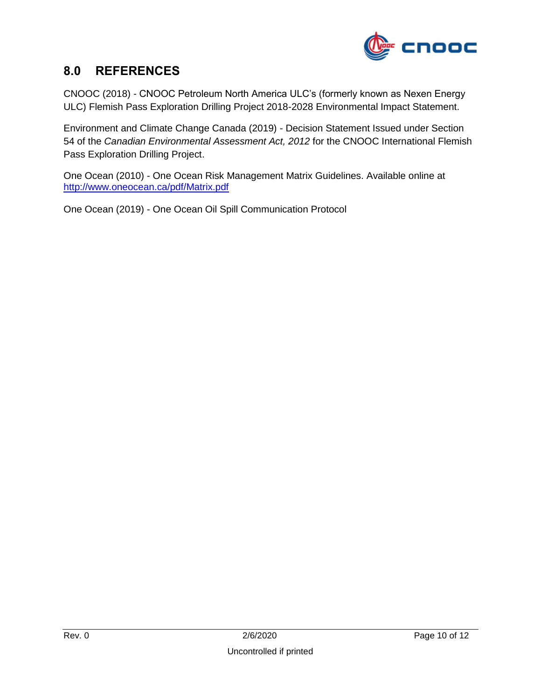

#### <span id="page-9-0"></span>**8.0 REFERENCES**

CNOOC (2018) *-* CNOOC Petroleum North America ULC's (formerly known as Nexen Energy ULC) Flemish Pass Exploration Drilling Project 2018-2028 Environmental Impact Statement.

Environment and Climate Change Canada (2019) - Decision Statement Issued under Section 54 of the *Canadian Environmental Assessment Act, 2012* for the CNOOC International Flemish Pass Exploration Drilling Project.

One Ocean (2010) - One Ocean Risk Management Matrix Guidelines. Available online at <http://www.oneocean.ca/pdf/Matrix.pdf>

One Ocean (2019) - One Ocean Oil Spill Communication Protocol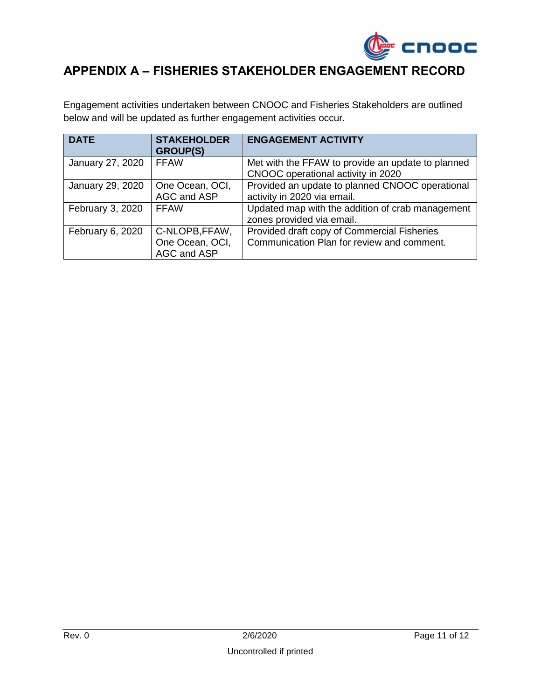

### <span id="page-10-0"></span>**APPENDIX A – FISHERIES STAKEHOLDER ENGAGEMENT RECORD**

Engagement activities undertaken between CNOOC and Fisheries Stakeholders are outlined below and will be updated as further engagement activities occur.

| <b>DATE</b>      | <b>STAKEHOLDER</b><br><b>GROUP(S)</b>            | <b>ENGAGEMENT ACTIVITY</b>                                                                |
|------------------|--------------------------------------------------|-------------------------------------------------------------------------------------------|
| January 27, 2020 | <b>FFAW</b>                                      | Met with the FFAW to provide an update to planned<br>CNOOC operational activity in 2020   |
| January 29, 2020 | One Ocean, OCI,<br>AGC and ASP                   | Provided an update to planned CNOOC operational<br>activity in 2020 via email.            |
| February 3, 2020 | <b>FFAW</b>                                      | Updated map with the addition of crab management<br>zones provided via email.             |
| February 6, 2020 | C-NLOPB, FFAW,<br>One Ocean, OCI,<br>AGC and ASP | Provided draft copy of Commercial Fisheries<br>Communication Plan for review and comment. |